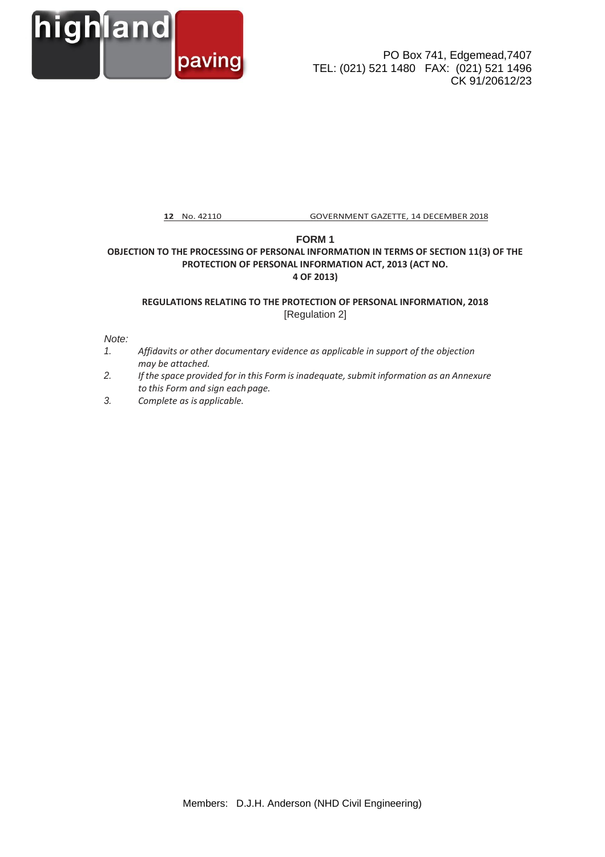

PO Box 741, Edgemead,7407 TEL: (021) 521 1480 FAX: (021) 521 1496 CK 91/20612/23

**12** No. 42110 GOVERNMENT GAZETTE, 14 DECEMBER 2018

## **FORM 1 OBJECTION TO THE PROCESSING OF PERSONAL INFORMATION IN TERMS OF SECTION 11(3) OF THE PROTECTION OF PERSONAL INFORMATION ACT, 2013 (ACT NO. 4 OF 2013)**

## **REGULATIONS RELATING TO THE PROTECTION OF PERSONAL INFORMATION, 2018** [Regulation 2]

## *Note:*

- *1. Affidavits or other documentary evidence as applicable in support of the objection may be attached.*
- *2. If the space provided for in this Form is inadequate, submit information as an Annexure to this Form and sign each page.*
- *3. Complete as is applicable.*